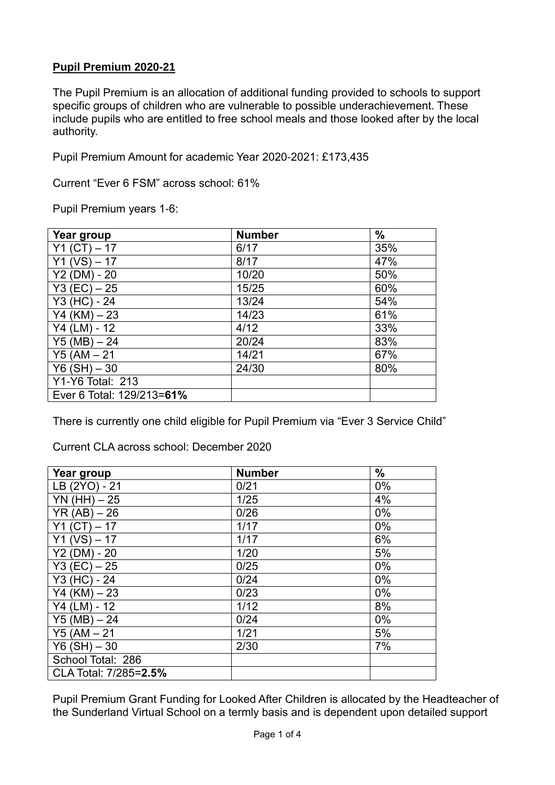### **Pupil Premium 2020-21**

The Pupil Premium is an allocation of additional funding provided to schools to support specific groups of children who are vulnerable to possible underachievement. These include pupils who are entitled to free school meals and those looked after by the local authority.

Pupil Premium Amount for academic Year 2020-2021: £173,435

Current "Ever 6 FSM" across school: 61%

Pupil Premium years 1-6:

| Year group                | <b>Number</b> | $\frac{9}{6}$ |
|---------------------------|---------------|---------------|
| Υ1<br>$-17$               | 6/17          | 35%           |
| (VS)<br>Y1<br>17          | 8/17          | 47%           |
| Y2(DM)<br>$-20$           | 10/20         | 50%           |
| Y3 (EC) – 25              | 15/25         | 60%           |
| Y3 (HC) - 24              | 13/24         | 54%           |
| Y4 (KM) – 23              | 14/23         | 61%           |
| Y4 (LM) - 12              | 4/12          | 33%           |
| $Y5(MB) - 24$             | 20/24         | 83%           |
| $Y5 (AM - 21)$            | 14/21         | 67%           |
| $Y6(SH) - 30$             | 24/30         | 80%           |
| Y1-Y6 Total: 213          |               |               |
| Ever 6 Total: 129/213=61% |               |               |

There is currently one child eligible for Pupil Premium via "Ever 3 Service Child"

Current CLA across school: December 2020

| Year group                      | <b>Number</b> | $\frac{0}{0}$ |
|---------------------------------|---------------|---------------|
| LB (2YO) - 21                   | 0/21          | 0%            |
| $YN(HH) - 25$                   | 1/25          | 4%            |
| YR (AB)<br>$-26$                | 0/26          | 0%            |
| Y <sub>1</sub><br>$-17$<br>(CT) | 1/17          | 0%            |
| <b>Y1</b><br>(VS)<br>$-17$      | 1/17          | 6%            |
| $-20$<br>Y2(DM)                 | 1/20          | 5%            |
| $Y3 (EC) - 25$                  | 0/25          | $0\%$         |
| Y3 (HC) - 24                    | 0/24          | 0%            |
| $-23$<br>Y4 (KM)                | 0/23          | $0\%$         |
| $Y4$ (LM)<br>$-12$              | 1/12          | 8%            |
| $Y5(MB) - 24$                   | 0/24          | $0\%$         |
| $Y5 (AM - 21)$                  | 1/21          | 5%            |
| $Y6(SH) - 30$                   | 2/30          | 7%            |
| School Total: 286               |               |               |
| CLA Total: 7/285=2.5%           |               |               |

Pupil Premium Grant Funding for Looked After Children is allocated by the Headteacher of the Sunderland Virtual School on a termly basis and is dependent upon detailed support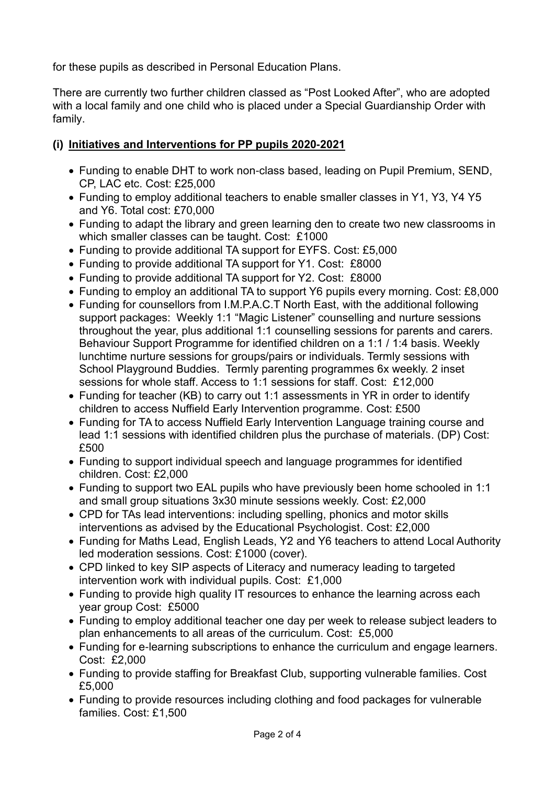for these pupils as described in Personal Education Plans.

There are currently two further children classed as "Post Looked After", who are adopted with a local family and one child who is placed under a Special Guardianship Order with family.

## **(i) Initiatives and Interventions for PP pupils 2020-2021**

- Funding to enable DHT to work non-class based, leading on Pupil Premium, SEND, CP, LAC etc. Cost: £25,000
- Funding to employ additional teachers to enable smaller classes in Y1, Y3, Y4 Y5 and Y6. Total cost: £70,000
- Funding to adapt the library and green learning den to create two new classrooms in which smaller classes can be taught. Cost: £1000
- Funding to provide additional TA support for EYFS. Cost: £5,000
- Funding to provide additional TA support for Y1. Cost: £8000
- Funding to provide additional TA support for Y2. Cost: £8000
- Funding to employ an additional TA to support Y6 pupils every morning. Cost: £8,000
- Funding for counsellors from I.M.P.A.C.T North East, with the additional following support packages: Weekly 1:1 "Magic Listener" counselling and nurture sessions throughout the year, plus additional 1:1 counselling sessions for parents and carers. Behaviour Support Programme for identified children on a 1:1 / 1:4 basis. Weekly lunchtime nurture sessions for groups/pairs or individuals. Termly sessions with School Playground Buddies. Termly parenting programmes 6x weekly. 2 inset sessions for whole staff. Access to 1:1 sessions for staff. Cost: £12,000
- Funding for teacher (KB) to carry out 1:1 assessments in YR in order to identify children to access Nuffield Early Intervention programme. Cost: £500
- Funding for TA to access Nuffield Early Intervention Language training course and lead 1:1 sessions with identified children plus the purchase of materials. (DP) Cost: £500
- Funding to support individual speech and language programmes for identified children. Cost: £2,000
- Funding to support two EAL pupils who have previously been home schooled in 1:1 and small group situations 3x30 minute sessions weekly. Cost: £2,000
- CPD for TAs lead interventions: including spelling, phonics and motor skills interventions as advised by the Educational Psychologist. Cost: £2,000
- Funding for Maths Lead, English Leads, Y2 and Y6 teachers to attend Local Authority led moderation sessions. Cost: £1000 (cover).
- CPD linked to key SIP aspects of Literacy and numeracy leading to targeted intervention work with individual pupils. Cost: £1,000
- Funding to provide high quality IT resources to enhance the learning across each year group Cost: £5000
- Funding to employ additional teacher one day per week to release subject leaders to plan enhancements to all areas of the curriculum. Cost: £5,000
- Funding for e-learning subscriptions to enhance the curriculum and engage learners. Cost: £2,000
- Funding to provide staffing for Breakfast Club, supporting vulnerable families. Cost £5,000
- Funding to provide resources including clothing and food packages for vulnerable families. Cost: £1,500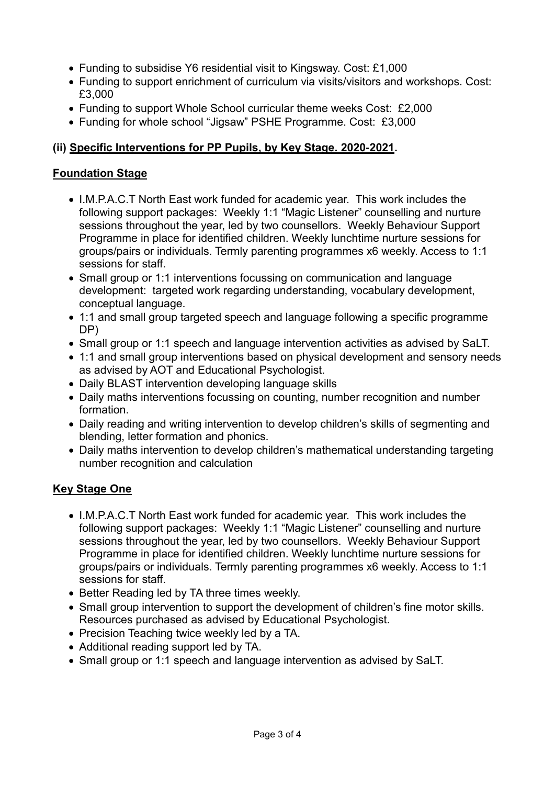- Funding to subsidise Y6 residential visit to Kingsway. Cost: £1,000
- Funding to support enrichment of curriculum via visits/visitors and workshops. Cost: £3,000
- Funding to support Whole School curricular theme weeks Cost: £2,000
- Funding for whole school "Jigsaw" PSHE Programme. Cost: £3,000

# **(ii) Specific Interventions for PP Pupils, by Key Stage. 2020-2021.**

# **Foundation Stage**

- I.M.P.A.C.T North East work funded for academic year. This work includes the following support packages: Weekly 1:1 "Magic Listener" counselling and nurture sessions throughout the year, led by two counsellors. Weekly Behaviour Support Programme in place for identified children. Weekly lunchtime nurture sessions for groups/pairs or individuals. Termly parenting programmes x6 weekly. Access to 1:1 sessions for staff.
- Small group or 1:1 interventions focussing on communication and language development: targeted work regarding understanding, vocabulary development, conceptual language.
- 1:1 and small group targeted speech and language following a specific programme DP)
- Small group or 1:1 speech and language intervention activities as advised by SaLT.
- 1:1 and small group interventions based on physical development and sensory needs as advised by AOT and Educational Psychologist.
- Daily BLAST intervention developing language skills
- Daily maths interventions focussing on counting, number recognition and number formation.
- Daily reading and writing intervention to develop children's skills of segmenting and blending, letter formation and phonics.
- Daily maths intervention to develop children's mathematical understanding targeting number recognition and calculation

# **Key Stage One**

- I.M.P.A.C.T North East work funded for academic year. This work includes the following support packages: Weekly 1:1 "Magic Listener" counselling and nurture sessions throughout the year, led by two counsellors. Weekly Behaviour Support Programme in place for identified children. Weekly lunchtime nurture sessions for groups/pairs or individuals. Termly parenting programmes x6 weekly. Access to 1:1 sessions for staff.
- Better Reading led by TA three times weekly.
- Small group intervention to support the development of children's fine motor skills. Resources purchased as advised by Educational Psychologist.
- Precision Teaching twice weekly led by a TA.
- Additional reading support led by TA.
- Small group or 1:1 speech and language intervention as advised by SaLT.